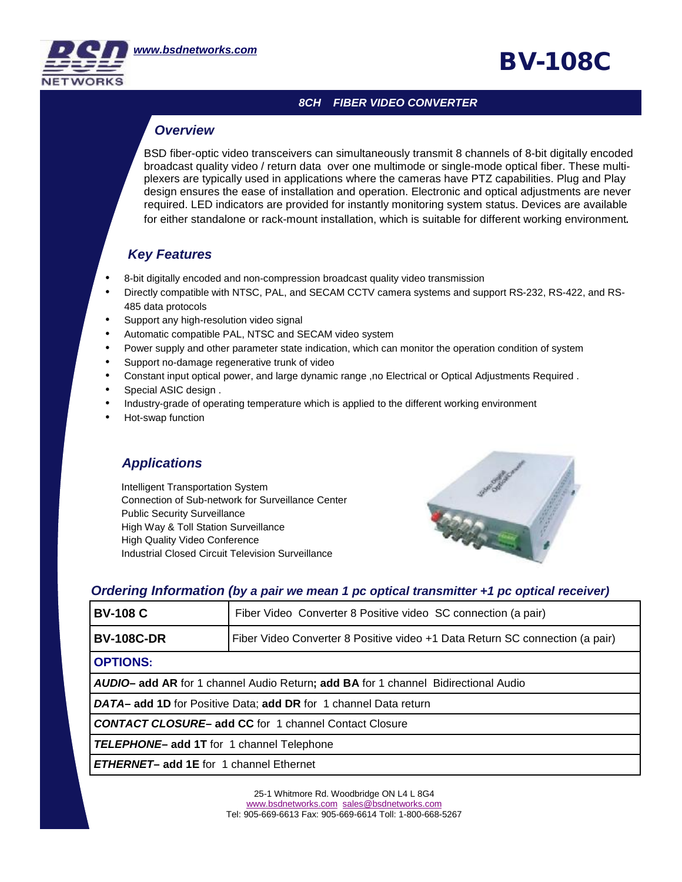#### *8CH FIBER VIDEO CONVERTER*

## *Overview*

BSD fiber-optic video transceivers can simultaneously transmit 8 channels of 8-bit digitally encoded broadcast quality video / return data over one multimode or single-mode optical fiber. These multiplexers are typically used in applications where the cameras have PTZ capabilities. Plug and Play design ensures the ease of installation and operation. Electronic and optical adjustments are never required. LED indicators are provided for instantly monitoring system status. Devices are available for either standalone or rack-mount installation, which is suitable for different working environment.

## *Key Features*

- 8-bit digitally encoded and non-compression broadcast quality video transmission
- Directly compatible with NTSC, PAL, and SECAM CCTV camera systems and support RS-232, RS-422, and RS-485 data protocols
- Support any high-resolution video signal
- **•** Support any high-resolution video signal<br>• Automatic compatible PAL, NTSC and SECAM video system
	- Power supply and other parameter state indication, which can monitor the operation condition of system
	- Support no-damage regenerative trunk of video
	- Constant input optical power, and large dynamic range ,no Electrical or Optical Adjustments Required .
	- Special ASIC design .
	- Industry-grade of operating temperature which is applied to the different working environment
	- Hot-swap function

### *Applications*

Intelligent Transportation System Connection of Sub-network for Surveillance Center Public Security Surveillance High Way & Toll Station Surveillance High Quality Video Conference Industrial Closed Circuit Television Surveillance



**BV-108C** 

#### *Ordering Information (by a pair we mean 1 pc optical transmitter +1 pc optical receiver)*

|                 | <b>BV-108 C</b>                                                                                                                                                                    | Fiber Video Converter 8 Positive video SC connection (a pair)                |  |
|-----------------|------------------------------------------------------------------------------------------------------------------------------------------------------------------------------------|------------------------------------------------------------------------------|--|
|                 | <b>BV-108C-DR</b>                                                                                                                                                                  | Fiber Video Converter 8 Positive video +1 Data Return SC connection (a pair) |  |
| <b>OPTIONS:</b> |                                                                                                                                                                                    |                                                                              |  |
|                 | <b>AUDIO- add AR</b> for 1 channel Audio Return; <b>add BA</b> for 1 channel Bidirectional Audio<br><b>DATA- add 1D</b> for Positive Data; <b>add DR</b> for 1 channel Data return |                                                                              |  |
|                 |                                                                                                                                                                                    |                                                                              |  |
|                 | <b>CONTACT CLOSURE- add CC</b> for 1 channel Contact Closure<br><b>TELEPHONE- add 1T</b> for 1 channel Telephone<br><b>ETHERNET- add 1E</b> for 1 channel Ethernet                 |                                                                              |  |
|                 |                                                                                                                                                                                    |                                                                              |  |
|                 |                                                                                                                                                                                    |                                                                              |  |

25-1 Whitmore Rd. Woodbridge ON L4 L 8G4 [www.bsdnetworks.com](http://www.bsdnetworks.com) [sales@bsdnetworks.com](mailto:sales@bsdnetworks.com) Tel: 905-669-6613 Fax: 905-669-6614 Toll: 1-800-668-5267